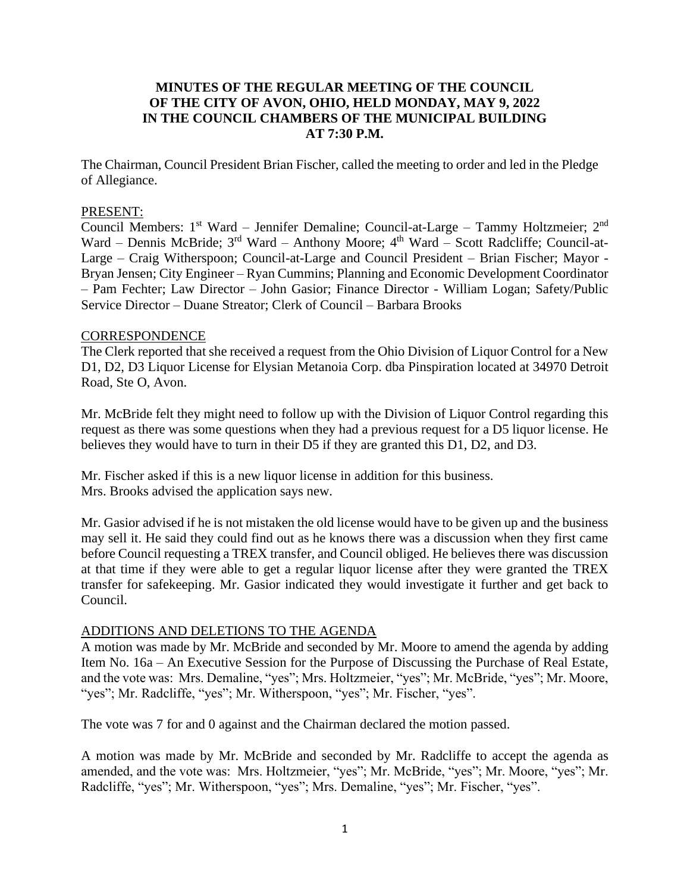## **MINUTES OF THE REGULAR MEETING OF THE COUNCIL OF THE CITY OF AVON, OHIO, HELD MONDAY, MAY 9, 2022 IN THE COUNCIL CHAMBERS OF THE MUNICIPAL BUILDING AT 7:30 P.M.**

The Chairman, Council President Brian Fischer, called the meeting to order and led in the Pledge of Allegiance.

#### PRESENT:

Council Members: 1<sup>st</sup> Ward - Jennifer Demaline; Council-at-Large - Tammy Holtzmeier; 2<sup>nd</sup> Ward – Dennis McBride; 3<sup>rd</sup> Ward – Anthony Moore; 4<sup>th</sup> Ward – Scott Radcliffe; Council-at-Large – Craig Witherspoon; Council-at-Large and Council President – Brian Fischer; Mayor - Bryan Jensen; City Engineer – Ryan Cummins; Planning and Economic Development Coordinator – Pam Fechter; Law Director – John Gasior; Finance Director - William Logan; Safety/Public Service Director – Duane Streator; Clerk of Council – Barbara Brooks

#### **CORRESPONDENCE**

The Clerk reported that she received a request from the Ohio Division of Liquor Control for a New D1, D2, D3 Liquor License for Elysian Metanoia Corp. dba Pinspiration located at 34970 Detroit Road, Ste O, Avon.

Mr. McBride felt they might need to follow up with the Division of Liquor Control regarding this request as there was some questions when they had a previous request for a D5 liquor license. He believes they would have to turn in their D5 if they are granted this D1, D2, and D3.

Mr. Fischer asked if this is a new liquor license in addition for this business. Mrs. Brooks advised the application says new.

Mr. Gasior advised if he is not mistaken the old license would have to be given up and the business may sell it. He said they could find out as he knows there was a discussion when they first came before Council requesting a TREX transfer, and Council obliged. He believes there was discussion at that time if they were able to get a regular liquor license after they were granted the TREX transfer for safekeeping. Mr. Gasior indicated they would investigate it further and get back to Council.

#### ADDITIONS AND DELETIONS TO THE AGENDA

A motion was made by Mr. McBride and seconded by Mr. Moore to amend the agenda by adding Item No. 16a – An Executive Session for the Purpose of Discussing the Purchase of Real Estate, and the vote was: Mrs. Demaline, "yes"; Mrs. Holtzmeier, "yes"; Mr. McBride, "yes"; Mr. Moore, "yes"; Mr. Radcliffe, "yes"; Mr. Witherspoon, "yes"; Mr. Fischer, "yes".

The vote was 7 for and 0 against and the Chairman declared the motion passed.

A motion was made by Mr. McBride and seconded by Mr. Radcliffe to accept the agenda as amended, and the vote was: Mrs. Holtzmeier, "yes"; Mr. McBride, "yes"; Mr. Moore, "yes"; Mr. Radcliffe, "yes"; Mr. Witherspoon, "yes"; Mrs. Demaline, "yes"; Mr. Fischer, "yes".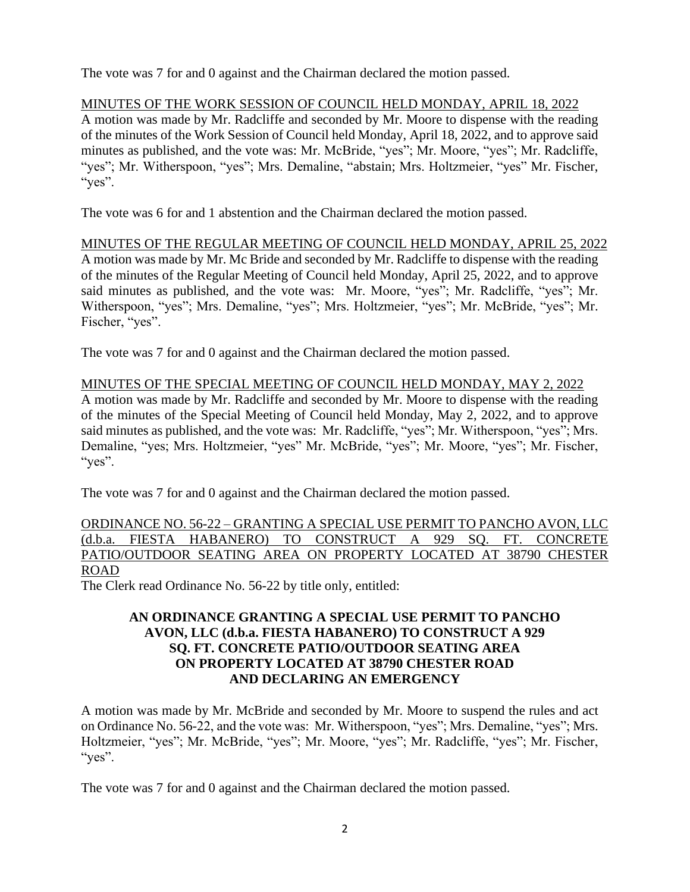The vote was 7 for and 0 against and the Chairman declared the motion passed.

MINUTES OF THE WORK SESSION OF COUNCIL HELD MONDAY, APRIL 18, 2022 A motion was made by Mr. Radcliffe and seconded by Mr. Moore to dispense with the reading of the minutes of the Work Session of Council held Monday, April 18, 2022, and to approve said minutes as published, and the vote was: Mr. McBride, "yes"; Mr. Moore, "yes"; Mr. Radcliffe, "yes"; Mr. Witherspoon, "yes"; Mrs. Demaline, "abstain; Mrs. Holtzmeier, "yes" Mr. Fischer, "yes".

The vote was 6 for and 1 abstention and the Chairman declared the motion passed.

MINUTES OF THE REGULAR MEETING OF COUNCIL HELD MONDAY, APRIL 25, 2022 A motion was made by Mr. Mc Bride and seconded by Mr. Radcliffe to dispense with the reading of the minutes of the Regular Meeting of Council held Monday, April 25, 2022, and to approve said minutes as published, and the vote was: Mr. Moore, "yes"; Mr. Radcliffe, "yes"; Mr. Witherspoon, "yes"; Mrs. Demaline, "yes"; Mrs. Holtzmeier, "yes"; Mr. McBride, "yes"; Mr. Fischer, "yes".

The vote was 7 for and 0 against and the Chairman declared the motion passed.

MINUTES OF THE SPECIAL MEETING OF COUNCIL HELD MONDAY, MAY 2, 2022 A motion was made by Mr. Radcliffe and seconded by Mr. Moore to dispense with the reading of the minutes of the Special Meeting of Council held Monday, May 2, 2022, and to approve said minutes as published, and the vote was: Mr. Radcliffe, "yes"; Mr. Witherspoon, "yes"; Mrs. Demaline, "yes; Mrs. Holtzmeier, "yes" Mr. McBride, "yes"; Mr. Moore, "yes"; Mr. Fischer, "yes".

The vote was 7 for and 0 against and the Chairman declared the motion passed.

ORDINANCE NO. 56-22 – GRANTING A SPECIAL USE PERMIT TO PANCHO AVON, LLC (d.b.a. FIESTA HABANERO) TO CONSTRUCT A 929 SQ. FT. CONCRETE PATIO/OUTDOOR SEATING AREA ON PROPERTY LOCATED AT 38790 CHESTER ROAD

The Clerk read Ordinance No. 56-22 by title only, entitled:

### **AN ORDINANCE GRANTING A SPECIAL USE PERMIT TO PANCHO AVON, LLC (d.b.a. FIESTA HABANERO) TO CONSTRUCT A 929 SQ. FT. CONCRETE PATIO/OUTDOOR SEATING AREA ON PROPERTY LOCATED AT 38790 CHESTER ROAD AND DECLARING AN EMERGENCY**

A motion was made by Mr. McBride and seconded by Mr. Moore to suspend the rules and act on Ordinance No. 56-22, and the vote was: Mr. Witherspoon, "yes"; Mrs. Demaline, "yes"; Mrs. Holtzmeier, "yes"; Mr. McBride, "yes"; Mr. Moore, "yes"; Mr. Radcliffe, "yes"; Mr. Fischer, "yes".

The vote was 7 for and 0 against and the Chairman declared the motion passed.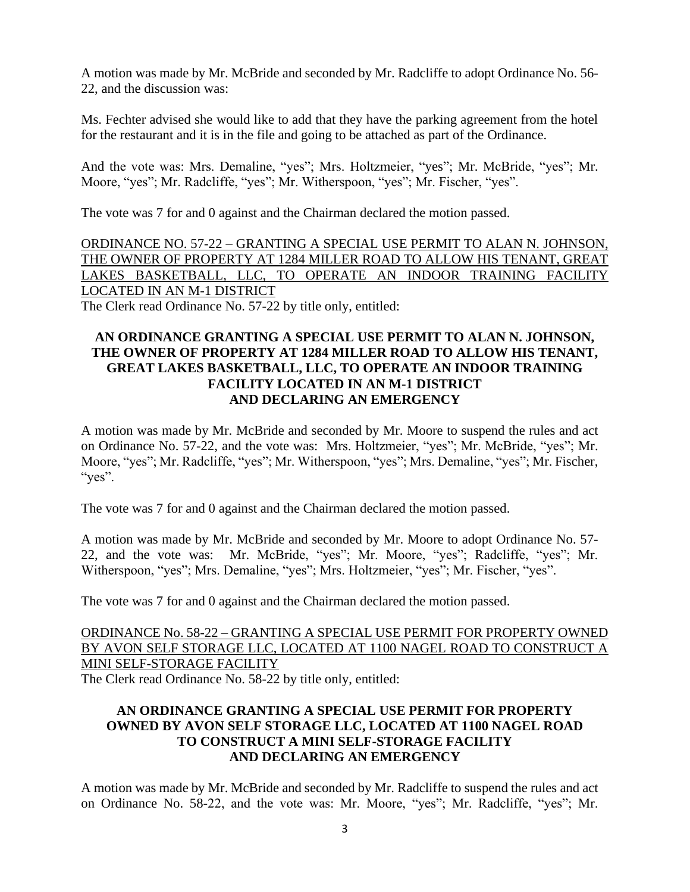A motion was made by Mr. McBride and seconded by Mr. Radcliffe to adopt Ordinance No. 56- 22, and the discussion was:

Ms. Fechter advised she would like to add that they have the parking agreement from the hotel for the restaurant and it is in the file and going to be attached as part of the Ordinance.

And the vote was: Mrs. Demaline, "yes"; Mrs. Holtzmeier, "yes"; Mr. McBride, "yes"; Mr. Moore, "yes"; Mr. Radcliffe, "yes"; Mr. Witherspoon, "yes"; Mr. Fischer, "yes".

The vote was 7 for and 0 against and the Chairman declared the motion passed.

ORDINANCE NO. 57-22 – GRANTING A SPECIAL USE PERMIT TO ALAN N. JOHNSON, THE OWNER OF PROPERTY AT 1284 MILLER ROAD TO ALLOW HIS TENANT, GREAT LAKES BASKETBALL, LLC, TO OPERATE AN INDOOR TRAINING FACILITY LOCATED IN AN M-1 DISTRICT

The Clerk read Ordinance No. 57-22 by title only, entitled:

# **AN ORDINANCE GRANTING A SPECIAL USE PERMIT TO ALAN N. JOHNSON, THE OWNER OF PROPERTY AT 1284 MILLER ROAD TO ALLOW HIS TENANT, GREAT LAKES BASKETBALL, LLC, TO OPERATE AN INDOOR TRAINING FACILITY LOCATED IN AN M-1 DISTRICT AND DECLARING AN EMERGENCY**

A motion was made by Mr. McBride and seconded by Mr. Moore to suspend the rules and act on Ordinance No. 57-22, and the vote was: Mrs. Holtzmeier, "yes"; Mr. McBride, "yes"; Mr. Moore, "yes"; Mr. Radcliffe, "yes"; Mr. Witherspoon, "yes"; Mrs. Demaline, "yes"; Mr. Fischer, "yes".

The vote was 7 for and 0 against and the Chairman declared the motion passed.

A motion was made by Mr. McBride and seconded by Mr. Moore to adopt Ordinance No. 57- 22, and the vote was: Mr. McBride, "yes"; Mr. Moore, "yes"; Radcliffe, "yes"; Mr. Witherspoon, "yes"; Mrs. Demaline, "yes"; Mrs. Holtzmeier, "yes"; Mr. Fischer, "yes".

The vote was 7 for and 0 against and the Chairman declared the motion passed.

# ORDINANCE No. 58-22 – GRANTING A SPECIAL USE PERMIT FOR PROPERTY OWNED BY AVON SELF STORAGE LLC, LOCATED AT 1100 NAGEL ROAD TO CONSTRUCT A MINI SELF-STORAGE FACILITY

The Clerk read Ordinance No. 58-22 by title only, entitled:

# **AN ORDINANCE GRANTING A SPECIAL USE PERMIT FOR PROPERTY OWNED BY AVON SELF STORAGE LLC, LOCATED AT 1100 NAGEL ROAD TO CONSTRUCT A MINI SELF-STORAGE FACILITY AND DECLARING AN EMERGENCY**

A motion was made by Mr. McBride and seconded by Mr. Radcliffe to suspend the rules and act on Ordinance No. 58-22, and the vote was: Mr. Moore, "yes"; Mr. Radcliffe, "yes"; Mr.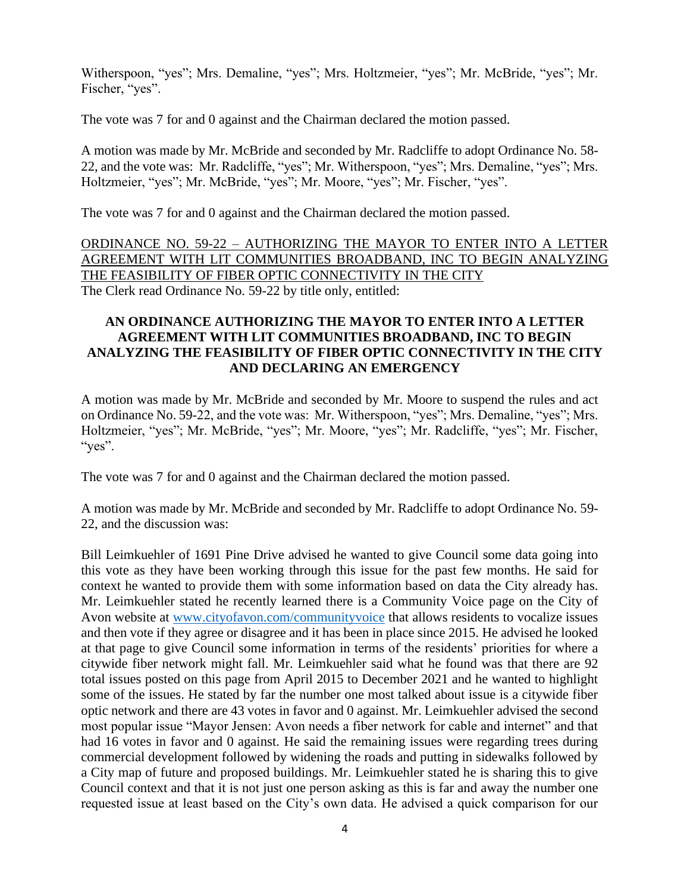Witherspoon, "yes"; Mrs. Demaline, "yes"; Mrs. Holtzmeier, "yes"; Mr. McBride, "yes"; Mr. Fischer, "yes".

The vote was 7 for and 0 against and the Chairman declared the motion passed.

A motion was made by Mr. McBride and seconded by Mr. Radcliffe to adopt Ordinance No. 58- 22, and the vote was: Mr. Radcliffe, "yes"; Mr. Witherspoon, "yes"; Mrs. Demaline, "yes"; Mrs. Holtzmeier, "yes"; Mr. McBride, "yes"; Mr. Moore, "yes"; Mr. Fischer, "yes".

The vote was 7 for and 0 against and the Chairman declared the motion passed.

ORDINANCE NO. 59-22 – AUTHORIZING THE MAYOR TO ENTER INTO A LETTER AGREEMENT WITH LIT COMMUNITIES BROADBAND, INC TO BEGIN ANALYZING THE FEASIBILITY OF FIBER OPTIC CONNECTIVITY IN THE CITY The Clerk read Ordinance No. 59-22 by title only, entitled:

## **AN ORDINANCE AUTHORIZING THE MAYOR TO ENTER INTO A LETTER AGREEMENT WITH LIT COMMUNITIES BROADBAND, INC TO BEGIN ANALYZING THE FEASIBILITY OF FIBER OPTIC CONNECTIVITY IN THE CITY AND DECLARING AN EMERGENCY**

A motion was made by Mr. McBride and seconded by Mr. Moore to suspend the rules and act on Ordinance No. 59-22, and the vote was: Mr. Witherspoon, "yes"; Mrs. Demaline, "yes"; Mrs. Holtzmeier, "yes"; Mr. McBride, "yes"; Mr. Moore, "yes"; Mr. Radcliffe, "yes"; Mr. Fischer, "yes".

The vote was 7 for and 0 against and the Chairman declared the motion passed.

A motion was made by Mr. McBride and seconded by Mr. Radcliffe to adopt Ordinance No. 59- 22, and the discussion was:

Bill Leimkuehler of 1691 Pine Drive advised he wanted to give Council some data going into this vote as they have been working through this issue for the past few months. He said for context he wanted to provide them with some information based on data the City already has. Mr. Leimkuehler stated he recently learned there is a Community Voice page on the City of Avon website at [www.cityofavon.com/communityvoice](http://www.cityofavon.com/communityvoice) that allows residents to vocalize issues and then vote if they agree or disagree and it has been in place since 2015. He advised he looked at that page to give Council some information in terms of the residents' priorities for where a citywide fiber network might fall. Mr. Leimkuehler said what he found was that there are 92 total issues posted on this page from April 2015 to December 2021 and he wanted to highlight some of the issues. He stated by far the number one most talked about issue is a citywide fiber optic network and there are 43 votes in favor and 0 against. Mr. Leimkuehler advised the second most popular issue "Mayor Jensen: Avon needs a fiber network for cable and internet" and that had 16 votes in favor and 0 against. He said the remaining issues were regarding trees during commercial development followed by widening the roads and putting in sidewalks followed by a City map of future and proposed buildings. Mr. Leimkuehler stated he is sharing this to give Council context and that it is not just one person asking as this is far and away the number one requested issue at least based on the City's own data. He advised a quick comparison for our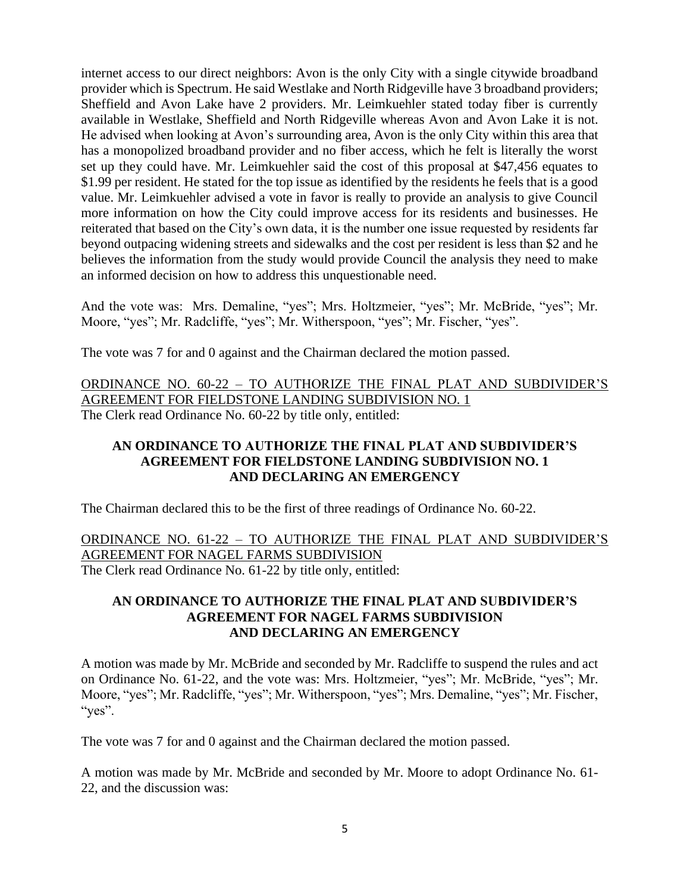internet access to our direct neighbors: Avon is the only City with a single citywide broadband provider which is Spectrum. He said Westlake and North Ridgeville have 3 broadband providers; Sheffield and Avon Lake have 2 providers. Mr. Leimkuehler stated today fiber is currently available in Westlake, Sheffield and North Ridgeville whereas Avon and Avon Lake it is not. He advised when looking at Avon's surrounding area, Avon is the only City within this area that has a monopolized broadband provider and no fiber access, which he felt is literally the worst set up they could have. Mr. Leimkuehler said the cost of this proposal at \$47,456 equates to \$1.99 per resident. He stated for the top issue as identified by the residents he feels that is a good value. Mr. Leimkuehler advised a vote in favor is really to provide an analysis to give Council more information on how the City could improve access for its residents and businesses. He reiterated that based on the City's own data, it is the number one issue requested by residents far beyond outpacing widening streets and sidewalks and the cost per resident is less than \$2 and he believes the information from the study would provide Council the analysis they need to make an informed decision on how to address this unquestionable need.

And the vote was: Mrs. Demaline, "yes"; Mrs. Holtzmeier, "yes"; Mr. McBride, "yes"; Mr. Moore, "yes"; Mr. Radcliffe, "yes"; Mr. Witherspoon, "yes"; Mr. Fischer, "yes".

The vote was 7 for and 0 against and the Chairman declared the motion passed.

ORDINANCE NO. 60-22 – TO AUTHORIZE THE FINAL PLAT AND SUBDIVIDER'S AGREEMENT FOR FIELDSTONE LANDING SUBDIVISION NO. 1 The Clerk read Ordinance No. 60-22 by title only, entitled:

### **AN ORDINANCE TO AUTHORIZE THE FINAL PLAT AND SUBDIVIDER'S AGREEMENT FOR FIELDSTONE LANDING SUBDIVISION NO. 1 AND DECLARING AN EMERGENCY**

The Chairman declared this to be the first of three readings of Ordinance No. 60-22.

ORDINANCE NO. 61-22 – TO AUTHORIZE THE FINAL PLAT AND SUBDIVIDER'S AGREEMENT FOR NAGEL FARMS SUBDIVISION The Clerk read Ordinance No. 61-22 by title only, entitled:

### **AN ORDINANCE TO AUTHORIZE THE FINAL PLAT AND SUBDIVIDER'S AGREEMENT FOR NAGEL FARMS SUBDIVISION AND DECLARING AN EMERGENCY**

A motion was made by Mr. McBride and seconded by Mr. Radcliffe to suspend the rules and act on Ordinance No. 61-22, and the vote was: Mrs. Holtzmeier, "yes"; Mr. McBride, "yes"; Mr. Moore, "yes"; Mr. Radcliffe, "yes"; Mr. Witherspoon, "yes"; Mrs. Demaline, "yes"; Mr. Fischer, "yes".

The vote was 7 for and 0 against and the Chairman declared the motion passed.

A motion was made by Mr. McBride and seconded by Mr. Moore to adopt Ordinance No. 61- 22, and the discussion was: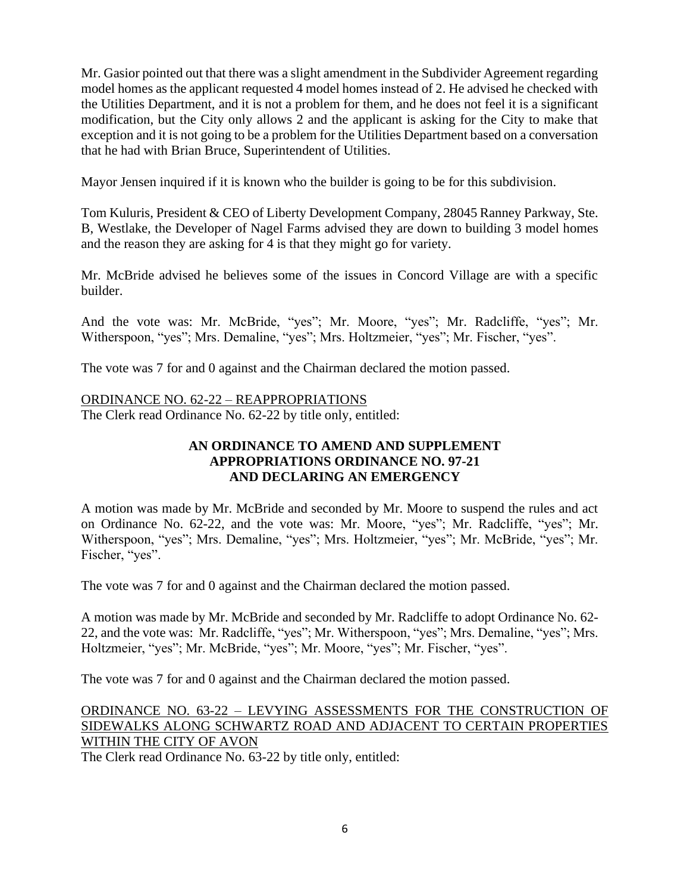Mr. Gasior pointed out that there was a slight amendment in the Subdivider Agreement regarding model homes as the applicant requested 4 model homes instead of 2. He advised he checked with the Utilities Department, and it is not a problem for them, and he does not feel it is a significant modification, but the City only allows 2 and the applicant is asking for the City to make that exception and it is not going to be a problem for the Utilities Department based on a conversation that he had with Brian Bruce, Superintendent of Utilities.

Mayor Jensen inquired if it is known who the builder is going to be for this subdivision.

Tom Kuluris, President & CEO of Liberty Development Company, 28045 Ranney Parkway, Ste. B, Westlake, the Developer of Nagel Farms advised they are down to building 3 model homes and the reason they are asking for 4 is that they might go for variety.

Mr. McBride advised he believes some of the issues in Concord Village are with a specific builder.

And the vote was: Mr. McBride, "yes"; Mr. Moore, "yes"; Mr. Radcliffe, "yes"; Mr. Witherspoon, "yes"; Mrs. Demaline, "yes"; Mrs. Holtzmeier, "yes"; Mr. Fischer, "yes".

The vote was 7 for and 0 against and the Chairman declared the motion passed.

## ORDINANCE NO. 62-22 – REAPPROPRIATIONS

The Clerk read Ordinance No. 62-22 by title only, entitled:

# **AN ORDINANCE TO AMEND AND SUPPLEMENT APPROPRIATIONS ORDINANCE NO. 97-21 AND DECLARING AN EMERGENCY**

A motion was made by Mr. McBride and seconded by Mr. Moore to suspend the rules and act on Ordinance No. 62-22, and the vote was: Mr. Moore, "yes"; Mr. Radcliffe, "yes"; Mr. Witherspoon, "yes"; Mrs. Demaline, "yes"; Mrs. Holtzmeier, "yes"; Mr. McBride, "yes"; Mr. Fischer, "yes".

The vote was 7 for and 0 against and the Chairman declared the motion passed.

A motion was made by Mr. McBride and seconded by Mr. Radcliffe to adopt Ordinance No. 62- 22, and the vote was: Mr. Radcliffe, "yes"; Mr. Witherspoon, "yes"; Mrs. Demaline, "yes"; Mrs. Holtzmeier, "yes"; Mr. McBride, "yes"; Mr. Moore, "yes"; Mr. Fischer, "yes".

The vote was 7 for and 0 against and the Chairman declared the motion passed.

# ORDINANCE NO. 63-22 – LEVYING ASSESSMENTS FOR THE CONSTRUCTION OF SIDEWALKS ALONG SCHWARTZ ROAD AND ADJACENT TO CERTAIN PROPERTIES WITHIN THE CITY OF AVON

The Clerk read Ordinance No. 63-22 by title only, entitled: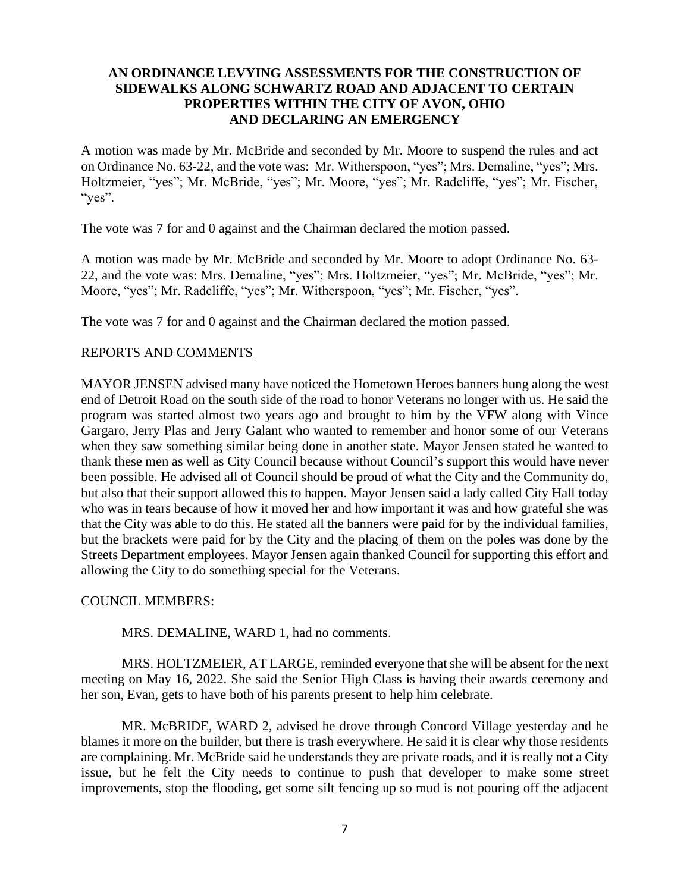### **AN ORDINANCE LEVYING ASSESSMENTS FOR THE CONSTRUCTION OF SIDEWALKS ALONG SCHWARTZ ROAD AND ADJACENT TO CERTAIN PROPERTIES WITHIN THE CITY OF AVON, OHIO AND DECLARING AN EMERGENCY**

A motion was made by Mr. McBride and seconded by Mr. Moore to suspend the rules and act on Ordinance No. 63-22, and the vote was: Mr. Witherspoon, "yes"; Mrs. Demaline, "yes"; Mrs. Holtzmeier, "yes"; Mr. McBride, "yes"; Mr. Moore, "yes"; Mr. Radcliffe, "yes"; Mr. Fischer, "yes".

The vote was 7 for and 0 against and the Chairman declared the motion passed.

A motion was made by Mr. McBride and seconded by Mr. Moore to adopt Ordinance No. 63- 22, and the vote was: Mrs. Demaline, "yes"; Mrs. Holtzmeier, "yes"; Mr. McBride, "yes"; Mr. Moore, "yes"; Mr. Radcliffe, "yes"; Mr. Witherspoon, "yes"; Mr. Fischer, "yes".

The vote was 7 for and 0 against and the Chairman declared the motion passed.

#### REPORTS AND COMMENTS

MAYOR JENSEN advised many have noticed the Hometown Heroes banners hung along the west end of Detroit Road on the south side of the road to honor Veterans no longer with us. He said the program was started almost two years ago and brought to him by the VFW along with Vince Gargaro, Jerry Plas and Jerry Galant who wanted to remember and honor some of our Veterans when they saw something similar being done in another state. Mayor Jensen stated he wanted to thank these men as well as City Council because without Council's support this would have never been possible. He advised all of Council should be proud of what the City and the Community do, but also that their support allowed this to happen. Mayor Jensen said a lady called City Hall today who was in tears because of how it moved her and how important it was and how grateful she was that the City was able to do this. He stated all the banners were paid for by the individual families, but the brackets were paid for by the City and the placing of them on the poles was done by the Streets Department employees. Mayor Jensen again thanked Council for supporting this effort and allowing the City to do something special for the Veterans.

#### COUNCIL MEMBERS:

MRS. DEMALINE, WARD 1, had no comments.

MRS. HOLTZMEIER, AT LARGE, reminded everyone that she will be absent for the next meeting on May 16, 2022. She said the Senior High Class is having their awards ceremony and her son, Evan, gets to have both of his parents present to help him celebrate.

MR. McBRIDE, WARD 2, advised he drove through Concord Village yesterday and he blames it more on the builder, but there is trash everywhere. He said it is clear why those residents are complaining. Mr. McBride said he understands they are private roads, and it is really not a City issue, but he felt the City needs to continue to push that developer to make some street improvements, stop the flooding, get some silt fencing up so mud is not pouring off the adjacent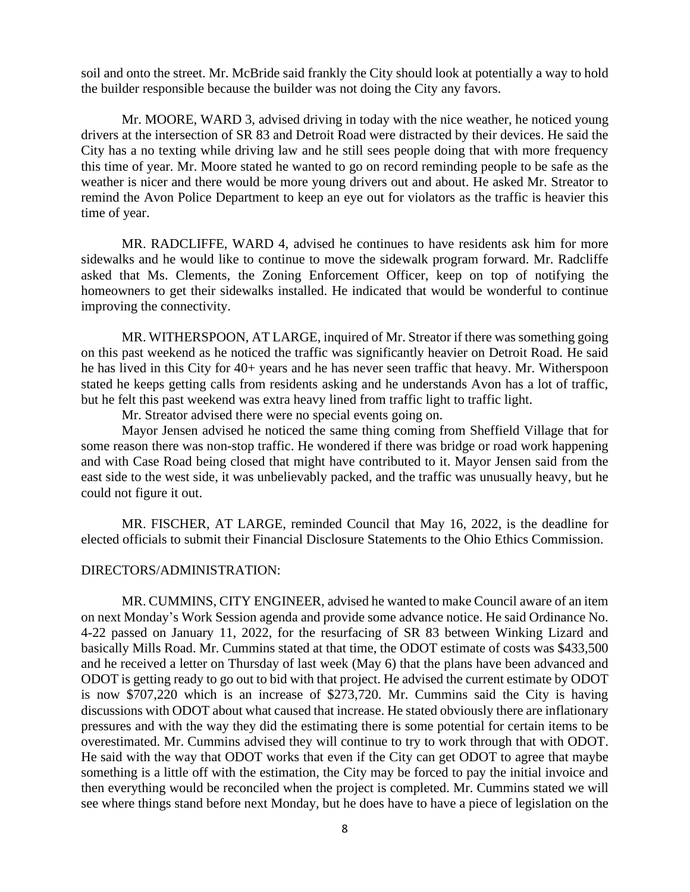soil and onto the street. Mr. McBride said frankly the City should look at potentially a way to hold the builder responsible because the builder was not doing the City any favors.

Mr. MOORE, WARD 3, advised driving in today with the nice weather, he noticed young drivers at the intersection of SR 83 and Detroit Road were distracted by their devices. He said the City has a no texting while driving law and he still sees people doing that with more frequency this time of year. Mr. Moore stated he wanted to go on record reminding people to be safe as the weather is nicer and there would be more young drivers out and about. He asked Mr. Streator to remind the Avon Police Department to keep an eye out for violators as the traffic is heavier this time of year.

MR. RADCLIFFE, WARD 4, advised he continues to have residents ask him for more sidewalks and he would like to continue to move the sidewalk program forward. Mr. Radcliffe asked that Ms. Clements, the Zoning Enforcement Officer, keep on top of notifying the homeowners to get their sidewalks installed. He indicated that would be wonderful to continue improving the connectivity.

MR. WITHERSPOON, AT LARGE, inquired of Mr. Streator if there was something going on this past weekend as he noticed the traffic was significantly heavier on Detroit Road. He said he has lived in this City for 40+ years and he has never seen traffic that heavy. Mr. Witherspoon stated he keeps getting calls from residents asking and he understands Avon has a lot of traffic, but he felt this past weekend was extra heavy lined from traffic light to traffic light.

Mr. Streator advised there were no special events going on.

Mayor Jensen advised he noticed the same thing coming from Sheffield Village that for some reason there was non-stop traffic. He wondered if there was bridge or road work happening and with Case Road being closed that might have contributed to it. Mayor Jensen said from the east side to the west side, it was unbelievably packed, and the traffic was unusually heavy, but he could not figure it out.

MR. FISCHER, AT LARGE, reminded Council that May 16, 2022, is the deadline for elected officials to submit their Financial Disclosure Statements to the Ohio Ethics Commission.

#### DIRECTORS/ADMINISTRATION:

MR. CUMMINS, CITY ENGINEER, advised he wanted to make Council aware of an item on next Monday's Work Session agenda and provide some advance notice. He said Ordinance No. 4-22 passed on January 11, 2022, for the resurfacing of SR 83 between Winking Lizard and basically Mills Road. Mr. Cummins stated at that time, the ODOT estimate of costs was \$433,500 and he received a letter on Thursday of last week (May 6) that the plans have been advanced and ODOT is getting ready to go out to bid with that project. He advised the current estimate by ODOT is now \$707,220 which is an increase of \$273,720. Mr. Cummins said the City is having discussions with ODOT about what caused that increase. He stated obviously there are inflationary pressures and with the way they did the estimating there is some potential for certain items to be overestimated. Mr. Cummins advised they will continue to try to work through that with ODOT. He said with the way that ODOT works that even if the City can get ODOT to agree that maybe something is a little off with the estimation, the City may be forced to pay the initial invoice and then everything would be reconciled when the project is completed. Mr. Cummins stated we will see where things stand before next Monday, but he does have to have a piece of legislation on the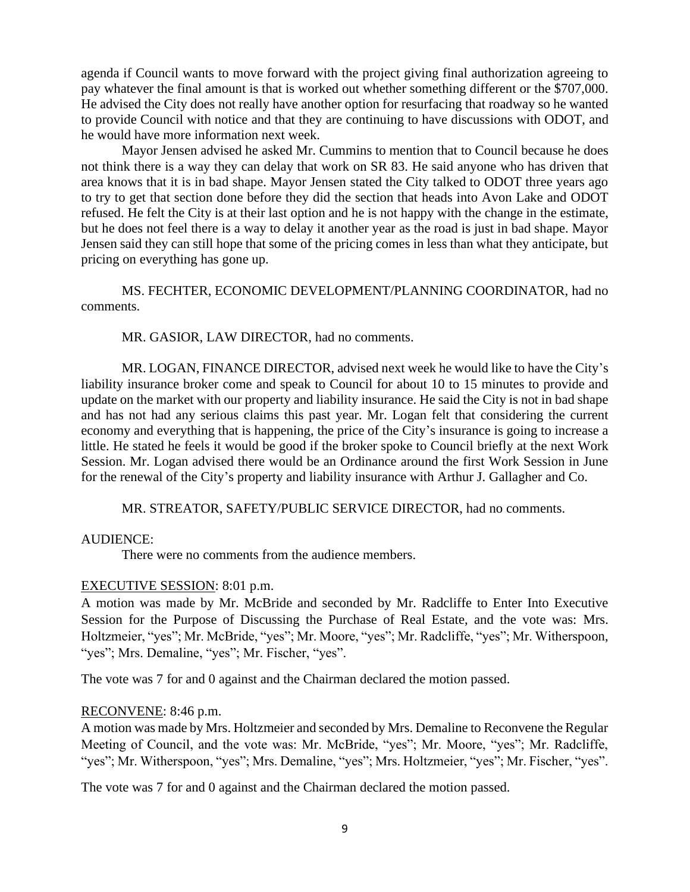agenda if Council wants to move forward with the project giving final authorization agreeing to pay whatever the final amount is that is worked out whether something different or the \$707,000. He advised the City does not really have another option for resurfacing that roadway so he wanted to provide Council with notice and that they are continuing to have discussions with ODOT, and he would have more information next week.

Mayor Jensen advised he asked Mr. Cummins to mention that to Council because he does not think there is a way they can delay that work on SR 83. He said anyone who has driven that area knows that it is in bad shape. Mayor Jensen stated the City talked to ODOT three years ago to try to get that section done before they did the section that heads into Avon Lake and ODOT refused. He felt the City is at their last option and he is not happy with the change in the estimate, but he does not feel there is a way to delay it another year as the road is just in bad shape. Mayor Jensen said they can still hope that some of the pricing comes in less than what they anticipate, but pricing on everything has gone up.

MS. FECHTER, ECONOMIC DEVELOPMENT/PLANNING COORDINATOR, had no comments.

MR. GASIOR, LAW DIRECTOR, had no comments.

MR. LOGAN, FINANCE DIRECTOR, advised next week he would like to have the City's liability insurance broker come and speak to Council for about 10 to 15 minutes to provide and update on the market with our property and liability insurance. He said the City is not in bad shape and has not had any serious claims this past year. Mr. Logan felt that considering the current economy and everything that is happening, the price of the City's insurance is going to increase a little. He stated he feels it would be good if the broker spoke to Council briefly at the next Work Session. Mr. Logan advised there would be an Ordinance around the first Work Session in June for the renewal of the City's property and liability insurance with Arthur J. Gallagher and Co.

MR. STREATOR, SAFETY/PUBLIC SERVICE DIRECTOR, had no comments.

#### AUDIENCE:

There were no comments from the audience members.

#### EXECUTIVE SESSION: 8:01 p.m.

A motion was made by Mr. McBride and seconded by Mr. Radcliffe to Enter Into Executive Session for the Purpose of Discussing the Purchase of Real Estate, and the vote was: Mrs. Holtzmeier, "yes"; Mr. McBride, "yes"; Mr. Moore, "yes"; Mr. Radcliffe, "yes"; Mr. Witherspoon, "yes"; Mrs. Demaline, "yes"; Mr. Fischer, "yes".

The vote was 7 for and 0 against and the Chairman declared the motion passed.

#### RECONVENE: 8:46 p.m.

A motion was made by Mrs. Holtzmeier and seconded by Mrs. Demaline to Reconvene the Regular Meeting of Council, and the vote was: Mr. McBride, "yes"; Mr. Moore, "yes"; Mr. Radcliffe, "yes"; Mr. Witherspoon, "yes"; Mrs. Demaline, "yes"; Mrs. Holtzmeier, "yes"; Mr. Fischer, "yes".

The vote was 7 for and 0 against and the Chairman declared the motion passed.